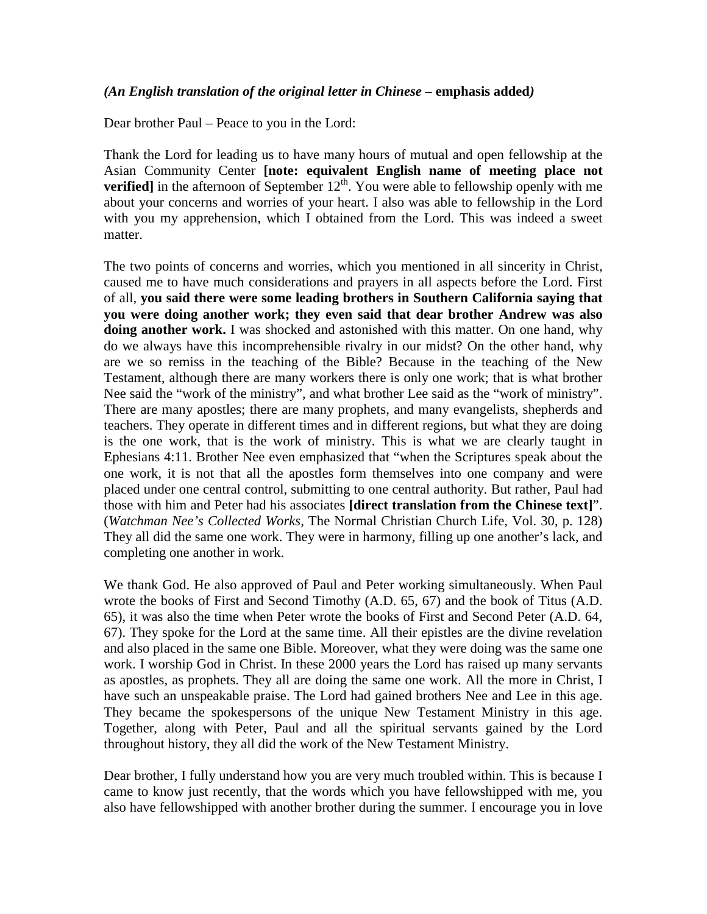## *(An English translation of the original letter in Chinese –* **emphasis added***)*

Dear brother Paul – Peace to you in the Lord:

Thank the Lord for leading us to have many hours of mutual and open fellowship at the Asian Community Center **[note: equivalent English name of meeting place not verified**] in the afternoon of September  $12<sup>th</sup>$ . You were able to fellowship openly with me about your concerns and worries of your heart. I also was able to fellowship in the Lord with you my apprehension, which I obtained from the Lord. This was indeed a sweet matter.

The two points of concerns and worries, which you mentioned in all sincerity in Christ, caused me to have much considerations and prayers in all aspects before the Lord. First of all, **you said there were some leading brothers in Southern California saying that you were doing another work; they even said that dear brother Andrew was also**  doing another work. I was shocked and astonished with this matter. On one hand, why do we always have this incomprehensible rivalry in our midst? On the other hand, why are we so remiss in the teaching of the Bible? Because in the teaching of the New Testament, although there are many workers there is only one work; that is what brother Nee said the "work of the ministry", and what brother Lee said as the "work of ministry". There are many apostles; there are many prophets, and many evangelists, shepherds and teachers. They operate in different times and in different regions, but what they are doing is the one work, that is the work of ministry. This is what we are clearly taught in Ephesians 4:11. Brother Nee even emphasized that "when the Scriptures speak about the one work, it is not that all the apostles form themselves into one company and were placed under one central control, submitting to one central authority. But rather, Paul had those with him and Peter had his associates **[direct translation from the Chinese text]**". (*Watchman Nee's Collected Works,* The Normal Christian Church Life, Vol. 30, p. 128) They all did the same one work. They were in harmony, filling up one another's lack, and completing one another in work.

We thank God. He also approved of Paul and Peter working simultaneously. When Paul wrote the books of First and Second Timothy (A.D. 65, 67) and the book of Titus (A.D. 65), it was also the time when Peter wrote the books of First and Second Peter (A.D. 64, 67). They spoke for the Lord at the same time. All their epistles are the divine revelation and also placed in the same one Bible. Moreover, what they were doing was the same one work. I worship God in Christ. In these 2000 years the Lord has raised up many servants as apostles, as prophets. They all are doing the same one work. All the more in Christ, I have such an unspeakable praise. The Lord had gained brothers Nee and Lee in this age. They became the spokespersons of the unique New Testament Ministry in this age. Together, along with Peter, Paul and all the spiritual servants gained by the Lord throughout history, they all did the work of the New Testament Ministry.

Dear brother, I fully understand how you are very much troubled within. This is because I came to know just recently, that the words which you have fellowshipped with me, you also have fellowshipped with another brother during the summer. I encourage you in love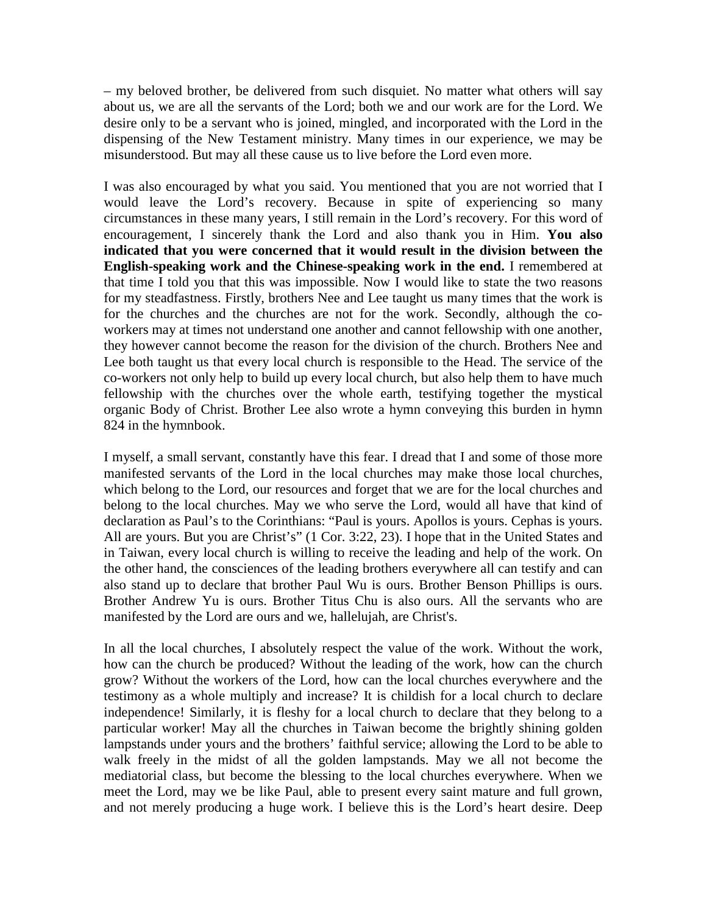– my beloved brother, be delivered from such disquiet. No matter what others will say about us, we are all the servants of the Lord; both we and our work are for the Lord. We desire only to be a servant who is joined, mingled, and incorporated with the Lord in the dispensing of the New Testament ministry. Many times in our experience, we may be misunderstood. But may all these cause us to live before the Lord even more.

I was also encouraged by what you said. You mentioned that you are not worried that I would leave the Lord's recovery. Because in spite of experiencing so many circumstances in these many years, I still remain in the Lord's recovery. For this word of encouragement, I sincerely thank the Lord and also thank you in Him. **You also indicated that you were concerned that it would result in the division between the English-speaking work and the Chinese-speaking work in the end.** I remembered at that time I told you that this was impossible. Now I would like to state the two reasons for my steadfastness. Firstly, brothers Nee and Lee taught us many times that the work is for the churches and the churches are not for the work. Secondly, although the coworkers may at times not understand one another and cannot fellowship with one another, they however cannot become the reason for the division of the church. Brothers Nee and Lee both taught us that every local church is responsible to the Head. The service of the co-workers not only help to build up every local church, but also help them to have much fellowship with the churches over the whole earth, testifying together the mystical organic Body of Christ. Brother Lee also wrote a hymn conveying this burden in hymn 824 in the hymnbook.

I myself, a small servant, constantly have this fear. I dread that I and some of those more manifested servants of the Lord in the local churches may make those local churches, which belong to the Lord, our resources and forget that we are for the local churches and belong to the local churches. May we who serve the Lord, would all have that kind of declaration as Paul's to the Corinthians: "Paul is yours. Apollos is yours. Cephas is yours. All are yours. But you are Christ's" (1 Cor. 3:22, 23). I hope that in the United States and in Taiwan, every local church is willing to receive the leading and help of the work. On the other hand, the consciences of the leading brothers everywhere all can testify and can also stand up to declare that brother Paul Wu is ours. Brother Benson Phillips is ours. Brother Andrew Yu is ours. Brother Titus Chu is also ours. All the servants who are manifested by the Lord are ours and we, hallelujah, are Christ's.

In all the local churches, I absolutely respect the value of the work. Without the work, how can the church be produced? Without the leading of the work, how can the church grow? Without the workers of the Lord, how can the local churches everywhere and the testimony as a whole multiply and increase? It is childish for a local church to declare independence! Similarly, it is fleshy for a local church to declare that they belong to a particular worker! May all the churches in Taiwan become the brightly shining golden lampstands under yours and the brothers' faithful service; allowing the Lord to be able to walk freely in the midst of all the golden lampstands. May we all not become the mediatorial class, but become the blessing to the local churches everywhere. When we meet the Lord, may we be like Paul, able to present every saint mature and full grown, and not merely producing a huge work. I believe this is the Lord's heart desire. Deep